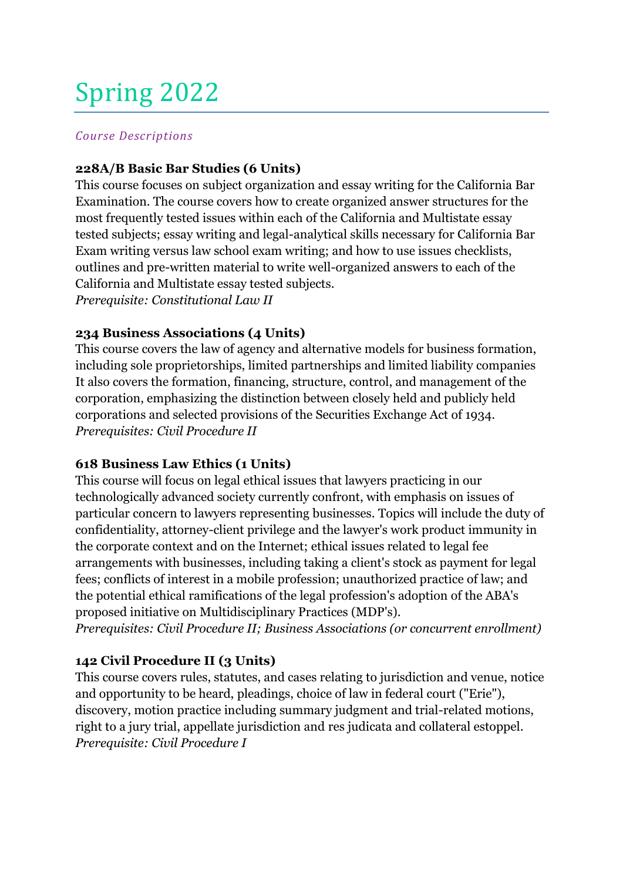# Spring 2022

#### *Course Descriptions*

## **228A/B Basic Bar Studies (6 Units)**

This course focuses on subject organization and essay writing for the California Bar Examination. The course covers how to create organized answer structures for the most frequently tested issues within each of the California and Multistate essay tested subjects; essay writing and legal-analytical skills necessary for California Bar Exam writing versus law school exam writing; and how to use issues checklists, outlines and pre-written material to write well-organized answers to each of the California and Multistate essay tested subjects.

*Prerequisite: Constitutional Law II*

## **234 Business Associations (4 Units)**

This course covers the law of agency and alternative models for business formation, including sole proprietorships, limited partnerships and limited liability companies It also covers the formation, financing, structure, control, and management of the corporation, emphasizing the distinction between closely held and publicly held corporations and selected provisions of the Securities Exchange Act of 1934. *Prerequisites: Civil Procedure II*

#### **618 Business Law Ethics (1 Units)**

This course will focus on legal ethical issues that lawyers practicing in our technologically advanced society currently confront, with emphasis on issues of particular concern to lawyers representing businesses. Topics will include the duty of confidentiality, attorney-client privilege and the lawyer's work product immunity in the corporate context and on the Internet; ethical issues related to legal fee arrangements with businesses, including taking a client's stock as payment for legal fees; conflicts of interest in a mobile profession; unauthorized practice of law; and the potential ethical ramifications of the legal profession's adoption of the ABA's proposed initiative on Multidisciplinary Practices (MDP's).

*Prerequisites: Civil Procedure II; Business Associations (or concurrent enrollment)*

# **142 Civil Procedure II (3 Units)**

This course covers rules, statutes, and cases relating to jurisdiction and venue, notice and opportunity to be heard, pleadings, choice of law in federal court ("Erie"), discovery, motion practice including summary judgment and trial-related motions, right to a jury trial, appellate jurisdiction and res judicata and collateral estoppel. *Prerequisite: Civil Procedure I*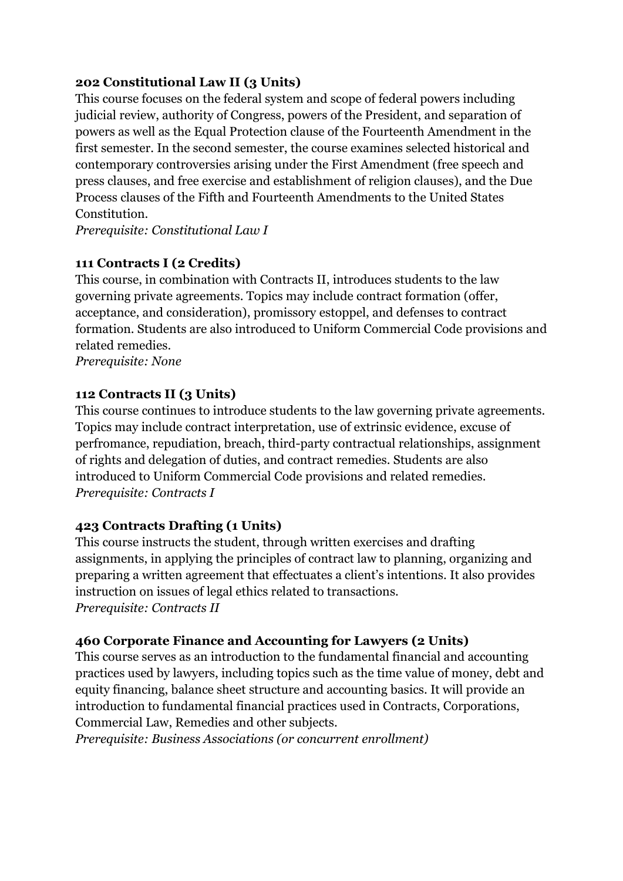## **202 Constitutional Law II (3 Units)**

This course focuses on the federal system and scope of federal powers including judicial review, authority of Congress, powers of the President, and separation of powers as well as the Equal Protection clause of the Fourteenth Amendment in the first semester. In the second semester, the course examines selected historical and contemporary controversies arising under the First Amendment (free speech and press clauses, and free exercise and establishment of religion clauses), and the Due Process clauses of the Fifth and Fourteenth Amendments to the United States Constitution.

*Prerequisite: Constitutional Law I*

## **111 Contracts I (2 Credits)**

This course, in combination with Contracts II, introduces students to the law governing private agreements. Topics may include contract formation (offer, acceptance, and consideration), promissory estoppel, and defenses to contract formation. Students are also introduced to Uniform Commercial Code provisions and related remedies.

*Prerequisite: None*

## **112 Contracts II (3 Units)**

This course continues to introduce students to the law governing private agreements. Topics may include contract interpretation, use of extrinsic evidence, excuse of perfromance, repudiation, breach, third-party contractual relationships, assignment of rights and delegation of duties, and contract remedies. Students are also introduced to Uniform Commercial Code provisions and related remedies. *Prerequisite: Contracts I*

# **423 Contracts Drafting (1 Units)**

This course instructs the student, through written exercises and drafting assignments, in applying the principles of contract law to planning, organizing and preparing a written agreement that effectuates a client's intentions. It also provides instruction on issues of legal ethics related to transactions. *Prerequisite: Contracts II*

#### **460 Corporate Finance and Accounting for Lawyers (2 Units)**

This course serves as an introduction to the fundamental financial and accounting practices used by lawyers, including topics such as the time value of money, debt and equity financing, balance sheet structure and accounting basics. It will provide an introduction to fundamental financial practices used in Contracts, Corporations, Commercial Law, Remedies and other subjects.

*Prerequisite: Business Associations (or concurrent enrollment)*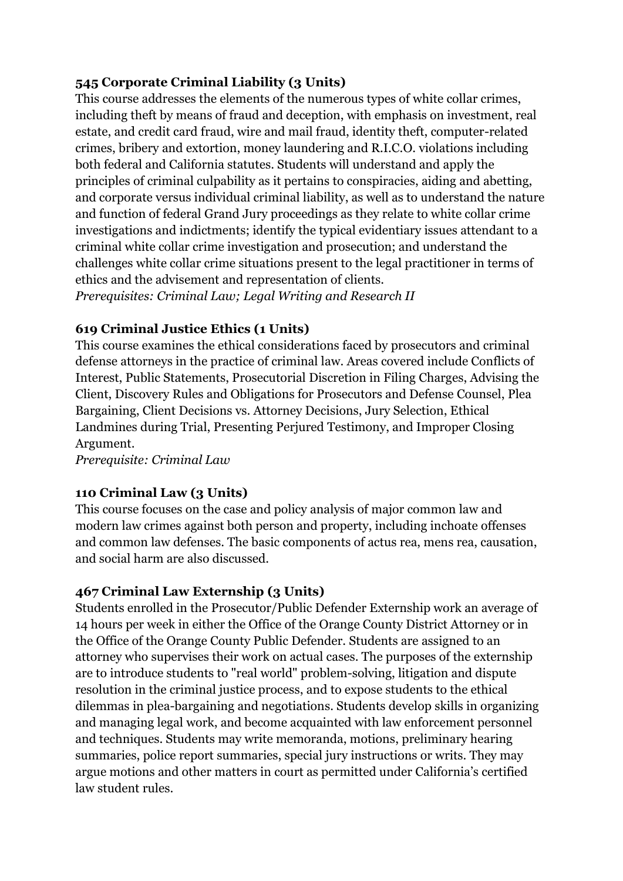# **545 Corporate Criminal Liability (3 Units)**

This course addresses the elements of the numerous types of white collar crimes, including theft by means of fraud and deception, with emphasis on investment, real estate, and credit card fraud, wire and mail fraud, identity theft, computer-related crimes, bribery and extortion, money laundering and R.I.C.O. violations including both federal and California statutes. Students will understand and apply the principles of criminal culpability as it pertains to conspiracies, aiding and abetting, and corporate versus individual criminal liability, as well as to understand the nature and function of federal Grand Jury proceedings as they relate to white collar crime investigations and indictments; identify the typical evidentiary issues attendant to a criminal white collar crime investigation and prosecution; and understand the challenges white collar crime situations present to the legal practitioner in terms of ethics and the advisement and representation of clients.

*Prerequisites: Criminal Law; Legal Writing and Research II*

# **619 Criminal Justice Ethics (1 Units)**

This course examines the ethical considerations faced by prosecutors and criminal defense attorneys in the practice of criminal law. Areas covered include Conflicts of Interest, Public Statements, Prosecutorial Discretion in Filing Charges, Advising the Client, Discovery Rules and Obligations for Prosecutors and Defense Counsel, Plea Bargaining, Client Decisions vs. Attorney Decisions, Jury Selection, Ethical Landmines during Trial, Presenting Perjured Testimony, and Improper Closing Argument.

*Prerequisite: Criminal Law*

# **110 Criminal Law (3 Units)**

This course focuses on the case and policy analysis of major common law and modern law crimes against both person and property, including inchoate offenses and common law defenses. The basic components of actus rea, mens rea, causation, and social harm are also discussed.

# **467 Criminal Law Externship (3 Units)**

Students enrolled in the Prosecutor/Public Defender Externship work an average of 14 hours per week in either the Office of the Orange County District Attorney or in the Office of the Orange County Public Defender. Students are assigned to an attorney who supervises their work on actual cases. The purposes of the externship are to introduce students to "real world" problem-solving, litigation and dispute resolution in the criminal justice process, and to expose students to the ethical dilemmas in plea-bargaining and negotiations. Students develop skills in organizing and managing legal work, and become acquainted with law enforcement personnel and techniques. Students may write memoranda, motions, preliminary hearing summaries, police report summaries, special jury instructions or writs. They may argue motions and other matters in court as permitted under California's certified law student rules.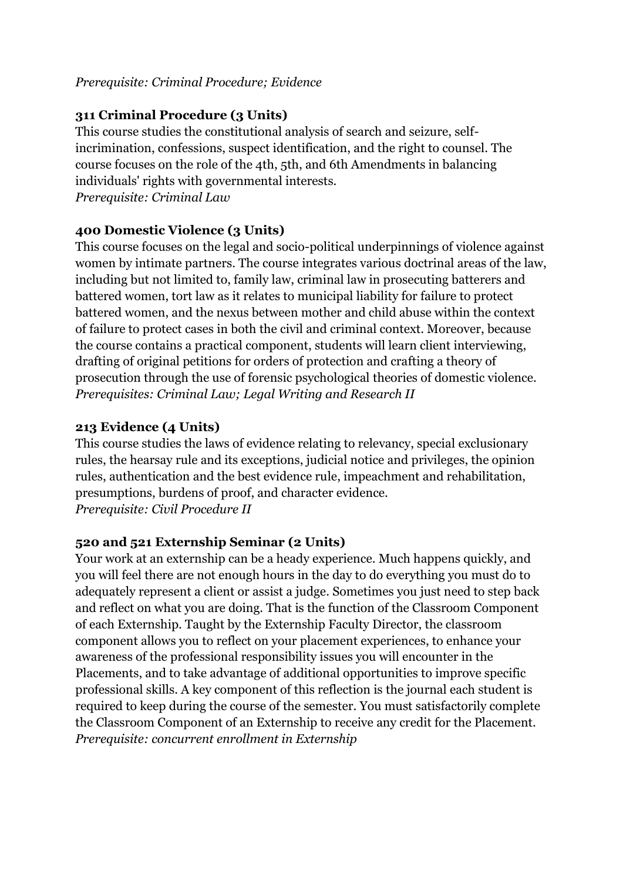#### *Prerequisite: Criminal Procedure; Evidence*

# **311 Criminal Procedure (3 Units)**

This course studies the constitutional analysis of search and seizure, selfincrimination, confessions, suspect identification, and the right to counsel. The course focuses on the role of the 4th, 5th, and 6th Amendments in balancing individuals' rights with governmental interests. *Prerequisite: Criminal Law*

## **400 Domestic Violence (3 Units)**

This course focuses on the legal and socio-political underpinnings of violence against women by intimate partners. The course integrates various doctrinal areas of the law, including but not limited to, family law, criminal law in prosecuting batterers and battered women, tort law as it relates to municipal liability for failure to protect battered women, and the nexus between mother and child abuse within the context of failure to protect cases in both the civil and criminal context. Moreover, because the course contains a practical component, students will learn client interviewing, drafting of original petitions for orders of protection and crafting a theory of prosecution through the use of forensic psychological theories of domestic violence. *Prerequisites: Criminal Law; Legal Writing and Research II*

## **213 Evidence (4 Units)**

This course studies the laws of evidence relating to relevancy, special exclusionary rules, the hearsay rule and its exceptions, judicial notice and privileges, the opinion rules, authentication and the best evidence rule, impeachment and rehabilitation, presumptions, burdens of proof, and character evidence. *Prerequisite: Civil Procedure II*

#### **520 and 521 Externship Seminar (2 Units)**

Your work at an externship can be a heady experience. Much happens quickly, and you will feel there are not enough hours in the day to do everything you must do to adequately represent a client or assist a judge. Sometimes you just need to step back and reflect on what you are doing. That is the function of the Classroom Component of each Externship. Taught by the Externship Faculty Director, the classroom component allows you to reflect on your placement experiences, to enhance your awareness of the professional responsibility issues you will encounter in the Placements, and to take advantage of additional opportunities to improve specific professional skills. A key component of this reflection is the journal each student is required to keep during the course of the semester. You must satisfactorily complete the Classroom Component of an Externship to receive any credit for the Placement. *Prerequisite: concurrent enrollment in Externship*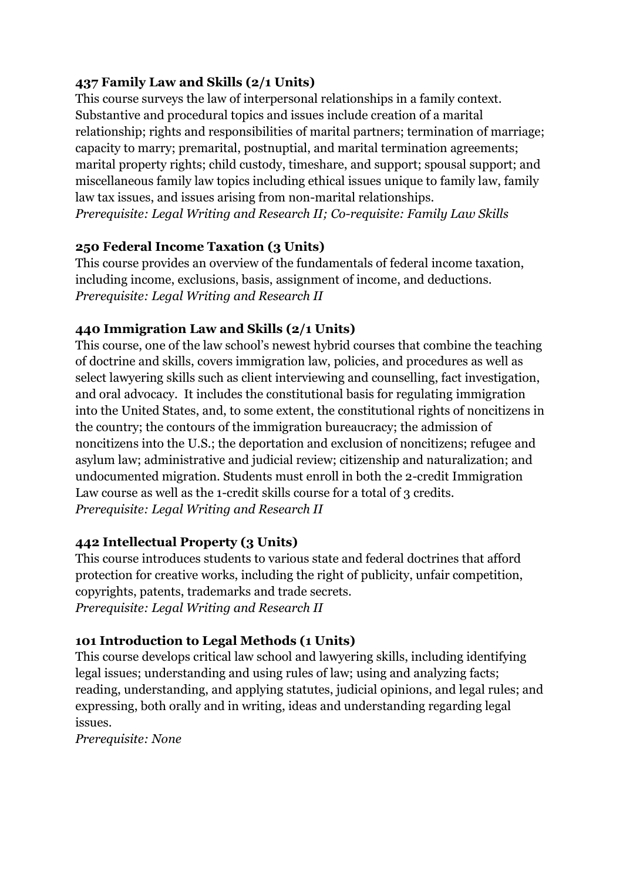# **437 Family Law and Skills (2/1 Units)**

This course surveys the law of interpersonal relationships in a family context. Substantive and procedural topics and issues include creation of a marital relationship; rights and responsibilities of marital partners; termination of marriage; capacity to marry; premarital, postnuptial, and marital termination agreements; marital property rights; child custody, timeshare, and support; spousal support; and miscellaneous family law topics including ethical issues unique to family law, family law tax issues, and issues arising from non-marital relationships. *Prerequisite: Legal Writing and Research II; Co-requisite: Family Law Skills*

# **250 Federal Income Taxation (3 Units)**

This course provides an overview of the fundamentals of federal income taxation, including income, exclusions, basis, assignment of income, and deductions. *Prerequisite: Legal Writing and Research II*

# **440 Immigration Law and Skills (2/1 Units)**

This course, one of the law school's newest hybrid courses that combine the teaching of doctrine and skills, covers immigration law, policies, and procedures as well as select lawyering skills such as client interviewing and counselling, fact investigation, and oral advocacy. It includes the constitutional basis for regulating immigration into the United States, and, to some extent, the constitutional rights of noncitizens in the country; the contours of the immigration bureaucracy; the admission of noncitizens into the U.S.; the deportation and exclusion of noncitizens; refugee and asylum law; administrative and judicial review; citizenship and naturalization; and undocumented migration. Students must enroll in both the 2-credit Immigration Law course as well as the 1-credit skills course for a total of 3 credits. *Prerequisite: Legal Writing and Research II*

# **442 Intellectual Property (3 Units)**

This course introduces students to various state and federal doctrines that afford protection for creative works, including the right of publicity, unfair competition, copyrights, patents, trademarks and trade secrets. *Prerequisite: Legal Writing and Research II*

# **101 Introduction to Legal Methods (1 Units)**

This course develops critical law school and lawyering skills, including identifying legal issues; understanding and using rules of law; using and analyzing facts; reading, understanding, and applying statutes, judicial opinions, and legal rules; and expressing, both orally and in writing, ideas and understanding regarding legal issues.

*Prerequisite: None*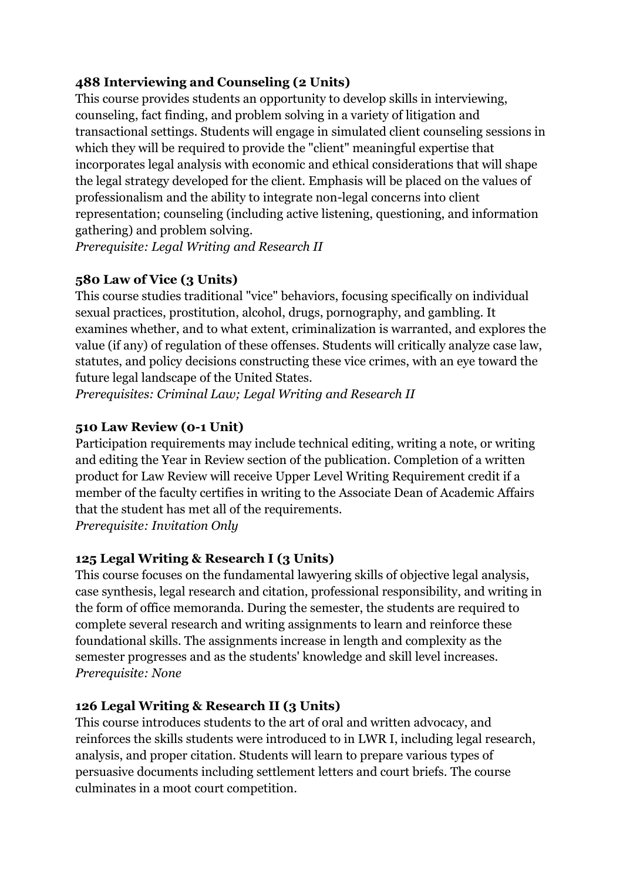# **488 Interviewing and Counseling (2 Units)**

This course provides students an opportunity to develop skills in interviewing, counseling, fact finding, and problem solving in a variety of litigation and transactional settings. Students will engage in simulated client counseling sessions in which they will be required to provide the "client" meaningful expertise that incorporates legal analysis with economic and ethical considerations that will shape the legal strategy developed for the client. Emphasis will be placed on the values of professionalism and the ability to integrate non-legal concerns into client representation; counseling (including active listening, questioning, and information gathering) and problem solving.

*Prerequisite: Legal Writing and Research II*

# **580 Law of Vice (3 Units)**

This course studies traditional "vice" behaviors, focusing specifically on individual sexual practices, prostitution, alcohol, drugs, pornography, and gambling. It examines whether, and to what extent, criminalization is warranted, and explores the value (if any) of regulation of these offenses. Students will critically analyze case law, statutes, and policy decisions constructing these vice crimes, with an eye toward the future legal landscape of the United States.

*Prerequisites: Criminal Law; Legal Writing and Research II*

# **510 Law Review (0-1 Unit)**

Participation requirements may include technical editing, writing a note, or writing and editing the Year in Review section of the publication. Completion of a written product for Law Review will receive Upper Level Writing Requirement credit if a member of the faculty certifies in writing to the Associate Dean of Academic Affairs that the student has met all of the requirements.

*Prerequisite: Invitation Only*

# **125 Legal Writing & Research I (3 Units)**

This course focuses on the fundamental lawyering skills of objective legal analysis, case synthesis, legal research and citation, professional responsibility, and writing in the form of office memoranda. During the semester, the students are required to complete several research and writing assignments to learn and reinforce these foundational skills. The assignments increase in length and complexity as the semester progresses and as the students' knowledge and skill level increases. *Prerequisite: None*

# **126 Legal Writing & Research II (3 Units)**

This course introduces students to the art of oral and written advocacy, and reinforces the skills students were introduced to in LWR I, including legal research, analysis, and proper citation. Students will learn to prepare various types of persuasive documents including settlement letters and court briefs. The course culminates in a moot court competition.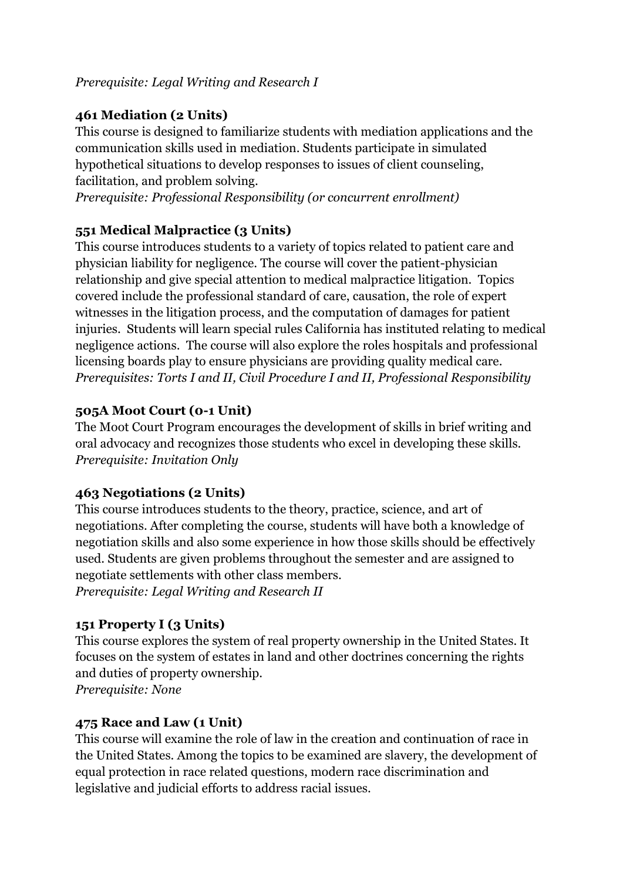## *Prerequisite: Legal Writing and Research I*

# **461 Mediation (2 Units)**

This course is designed to familiarize students with mediation applications and the communication skills used in mediation. Students participate in simulated hypothetical situations to develop responses to issues of client counseling, facilitation, and problem solving.

*Prerequisite: Professional Responsibility (or concurrent enrollment)*

# **551 Medical Malpractice (3 Units)**

This course introduces students to a variety of topics related to patient care and physician liability for negligence. The course will cover the patient-physician relationship and give special attention to medical malpractice litigation. Topics covered include the professional standard of care, causation, the role of expert witnesses in the litigation process, and the computation of damages for patient injuries. Students will learn special rules California has instituted relating to medical negligence actions. The course will also explore the roles hospitals and professional licensing boards play to ensure physicians are providing quality medical care. *Prerequisites: Torts I and II, Civil Procedure I and II, Professional Responsibility*

# **505A Moot Court (0-1 Unit)**

The Moot Court Program encourages the development of skills in brief writing and oral advocacy and recognizes those students who excel in developing these skills. *Prerequisite: Invitation Only*

# **463 Negotiations (2 Units)**

This course introduces students to the theory, practice, science, and art of negotiations. After completing the course, students will have both a knowledge of negotiation skills and also some experience in how those skills should be effectively used. Students are given problems throughout the semester and are assigned to negotiate settlements with other class members. *Prerequisite: Legal Writing and Research II*

# **151 Property I (3 Units)**

This course explores the system of real property ownership in the United States. It focuses on the system of estates in land and other doctrines concerning the rights and duties of property ownership.

*Prerequisite: None*

# **475 Race and Law (1 Unit)**

This course will examine the role of law in the creation and continuation of race in the United States. Among the topics to be examined are slavery, the development of equal protection in race related questions, modern race discrimination and legislative and judicial efforts to address racial issues.